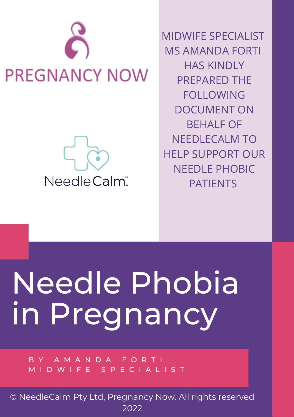



MIDWIFE SPECIALIST MS AMANDA FORTI HAS KINDLY PREPARED THE FOLLOWING DOCUMENT ON BEHALF OF NEEDLECALM TO HELP SUPPORT OUR NEEDLE PHOBIC PATIENTS

# Needle Phobia in Pregnancy

B Y A M A N D A F O R T I M I D W I F E S P E C I A L I S T

© NeedleCalm Pty Ltd, Pregnancy Now. All rights reserved 2022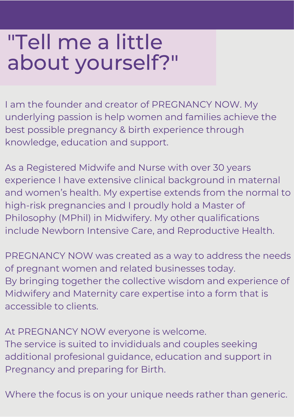#### "Tell me a little about yourself?"

I am the founder and creator of PREGNANCY NOW. My underlying passion is help women and families achieve the best possible pregnancy & birth experience through knowledge, education and support.

As a Registered Midwife and Nurse with over 30 years experience I have extensive clinical background in maternal and women's health. My expertise extends from the normal to high-risk pregnancies and I proudly hold a Master of Philosophy (MPhil) in Midwifery. My other qualifications include Newborn Intensive Care, and Reproductive Health.

PREGNANCY NOW was created as a way to address the needs of pregnant women and related businesses today. By bringing together the collective wisdom and experience of Midwifery and Maternity care expertise into a form that is accessible to clients.

At PREGNANCY NOW everyone is welcome. The service is suited to invididuals and couples seeking additional profesional guidance, education and support in Pregnancy and preparing for Birth.

Where the focus is on your unique needs rather than generic.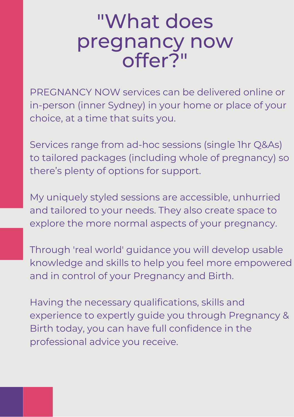#### "What does pregnancy now offer?"

PREGNANCY NOW services can be delivered online or in-person (inner Sydney) in your home or place of your choice, at a time that suits you.

Services range from ad-hoc sessions (single 1hr Q&As) to tailored packages (including whole of pregnancy) so there's plenty of options for support.

My uniquely styled sessions are accessible, unhurried and tailored to your needs. They also create space to explore the more normal aspects of your pregnancy.

Through 'real world' guidance you will develop usable knowledge and skills to help you feel more empowered and in control of your Pregnancy and Birth.

Having the necessary qualifications, skills and experience to expertly guide you through Pregnancy & Birth today, you can have full confidence in the professional advice you receive.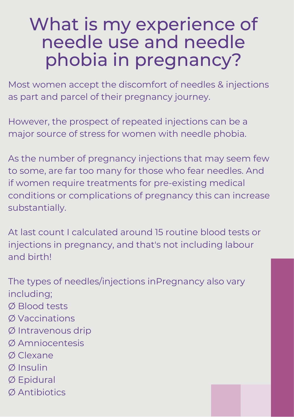#### What is my experience of needle use and needle phobia in pregnancy?

Most women accept the discomfort of needles & injections as part and parcel of their pregnancy journey.

However, the prospect of repeated injections can be a major source of stress for women with needle phobia.

As the number of pregnancy injections that may seem few to some, are far too many for those who fear needles. And if women require treatments for pre-existing medical conditions or complications of pregnancy this can increase substantially.

At last count I calculated around 15 routine blood tests or injections in pregnancy, and that's not including labour and birth!

The types of needles/injections inPregnancy also vary including; Ø Blood tests

- Ø Vaccinations
- Ø Intravenous drip
- Ø Amniocentesis
- Ø Clexane
- Ø Insulin
- Ø Epidural
- Ø Antibiotics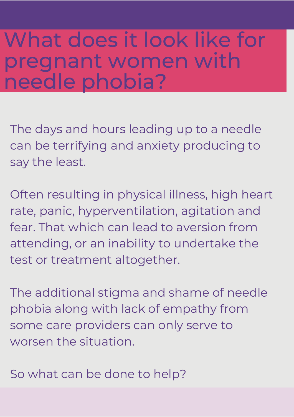#### What does it look like for pregnant women with needle phobia?

The days and hours leading up to a needle can be terrifying and anxiety producing to say the least.

Often resulting in physical illness, high heart rate, panic, hyperventilation, agitation and fear. That which can lead to aversion from attending, or an inability to undertake the test or treatment altogether.

The additional stigma and shame of needle phobia along with lack of empathy from some care providers can only serve to worsen the situation.

So what can be done to help?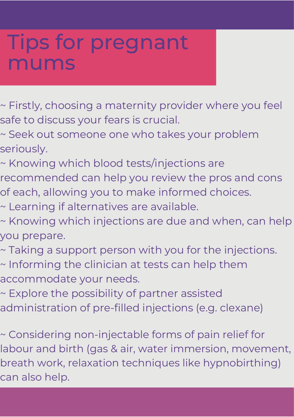#### Tips for pregnant mums

~ Firstly, choosing a maternity provider where you feel safe to discuss your fears is crucial.

~ Seek out someone one who takes your problem seriously.

~ Knowing which blood tests/injections are recommended can help you review the pros and cons

of each, allowing you to make informed choices.

~ Learning if alternatives are available.

~ Knowing which injections are due and when, can help you prepare.

~ Taking a support person with you for the injections. ~ Informing the clinician at tests can help them

accommodate your needs.

~ Explore the possibility of partner assisted

administration of pre-filled injections (e.g. clexane)

~ Considering non-injectable forms of pain relief for labour and birth (gas & air, water immersion, movement, breath work, relaxation techniques like hypnobirthing) can also help.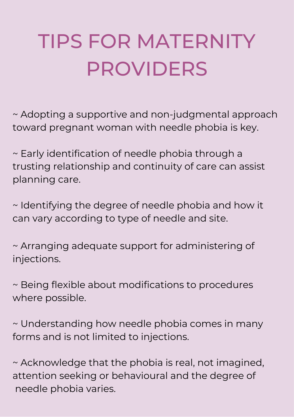### TIPS FOR MATERNITY PROVIDERS

~ Adopting a supportive and non-judgmental approach toward pregnant woman with needle phobia is key.

~ Early identification of needle phobia through a trusting relationship and continuity of care can assist planning care.

~ Identifying the degree of needle phobia and how it can vary according to type of needle and site.

~ Arranging adequate support for administering of injections.

~ Being flexible about modifications to procedures where possible.

~ Understanding how needle phobia comes in many forms and is not limited to injections.

~ Acknowledge that the phobia is real, not imagined, attention seeking or behavioural and the degree of needle phobia varies.